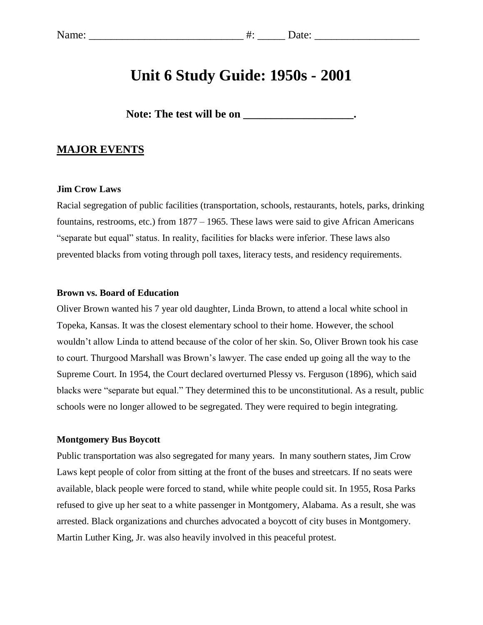# **Unit 6 Study Guide: 1950s - 2001**

Note: The test will be on **will be all the set of the set of the set of the set of the set of the set of the set of the set of the set of the set of the set of the set of the set of the set of the set of the set of the set** 

### **MAJOR EVENTS**

#### **Jim Crow Laws**

Racial segregation of public facilities (transportation, schools, restaurants, hotels, parks, drinking fountains, restrooms, etc.) from 1877 – 1965. These laws were said to give African Americans "separate but equal" status. In reality, facilities for blacks were inferior. These laws also prevented blacks from voting through poll taxes, literacy tests, and residency requirements.

#### **Brown vs. Board of Education**

Oliver Brown wanted his 7 year old daughter, Linda Brown, to attend a local white school in Topeka, Kansas. It was the closest elementary school to their home. However, the school wouldn't allow Linda to attend because of the color of her skin. So, Oliver Brown took his case to court. Thurgood Marshall was Brown's lawyer. The case ended up going all the way to the Supreme Court. In 1954, the Court declared overturned Plessy vs. Ferguson (1896), which said blacks were "separate but equal." They determined this to be unconstitutional. As a result, public schools were no longer allowed to be segregated. They were required to begin integrating.

#### **Montgomery Bus Boycott**

Public transportation was also segregated for many years. In many southern states, Jim Crow Laws kept people of color from sitting at the front of the buses and streetcars. If no seats were available, black people were forced to stand, while white people could sit. In 1955, Rosa Parks refused to give up her seat to a white passenger in Montgomery, Alabama. As a result, she was arrested. Black organizations and churches advocated a boycott of city buses in Montgomery. Martin Luther King, Jr. was also heavily involved in this peaceful protest.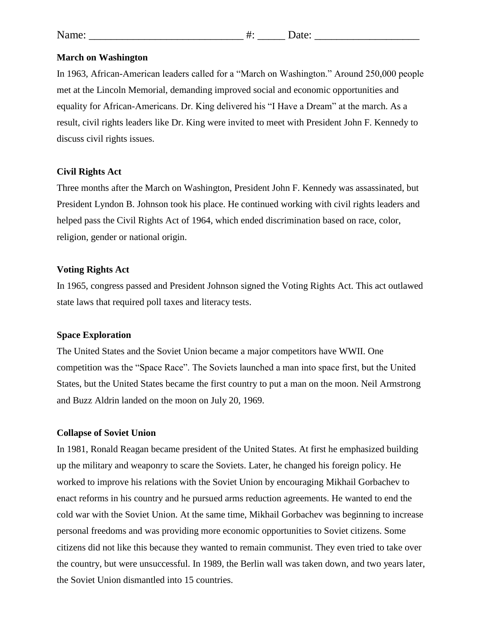#### **March on Washington**

In 1963, African-American leaders called for a "March on Washington." Around 250,000 people met at the Lincoln Memorial, demanding improved social and economic opportunities and equality for African-Americans. Dr. King delivered his "I Have a Dream" at the march. As a result, civil rights leaders like Dr. King were invited to meet with President John F. Kennedy to discuss civil rights issues.

#### **Civil Rights Act**

Three months after the March on Washington, President John F. Kennedy was assassinated, but President Lyndon B. Johnson took his place. He continued working with civil rights leaders and helped pass the Civil Rights Act of 1964, which ended discrimination based on race, color, religion, gender or national origin.

#### **Voting Rights Act**

In 1965, congress passed and President Johnson signed the Voting Rights Act. This act outlawed state laws that required poll taxes and literacy tests.

#### **Space Exploration**

The United States and the Soviet Union became a major competitors have WWII. One competition was the "Space Race". The Soviets launched a man into space first, but the United States, but the United States became the first country to put a man on the moon. Neil Armstrong and Buzz Aldrin landed on the moon on July 20, 1969.

#### **Collapse of Soviet Union**

In 1981, Ronald Reagan became president of the United States. At first he emphasized building up the military and weaponry to scare the Soviets. Later, he changed his foreign policy. He worked to improve his relations with the Soviet Union by encouraging Mikhail Gorbachev to enact reforms in his country and he pursued arms reduction agreements. He wanted to end the cold war with the Soviet Union. At the same time, Mikhail Gorbachev was beginning to increase personal freedoms and was providing more economic opportunities to Soviet citizens. Some citizens did not like this because they wanted to remain communist. They even tried to take over the country, but were unsuccessful. In 1989, the Berlin wall was taken down, and two years later, the Soviet Union dismantled into 15 countries.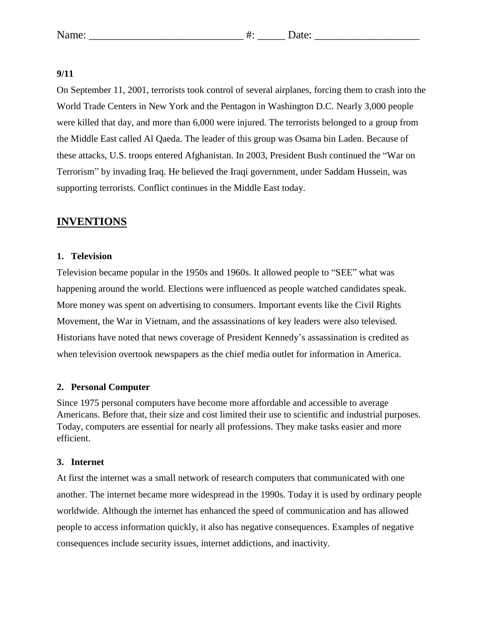#### **9/11**

On September 11, 2001, terrorists took control of several airplanes, forcing them to crash into the World Trade Centers in New York and the Pentagon in Washington D.C. Nearly 3,000 people were killed that day, and more than 6,000 were injured. The terrorists belonged to a group from the Middle East called Al Qaeda. The leader of this group was Osama bin Laden. Because of these attacks, U.S. troops entered Afghanistan. In 2003, President Bush continued the "War on Terrorism" by invading Iraq. He believed the Iraqi government, under Saddam Hussein, was supporting terrorists. Conflict continues in the Middle East today.

# **INVENTIONS**

#### **1. Television**

Television became popular in the 1950s and 1960s. It allowed people to "SEE" what was happening around the world. Elections were influenced as people watched candidates speak. More money was spent on advertising to consumers. Important events like the Civil Rights Movement, the War in Vietnam, and the assassinations of key leaders were also televised. Historians have noted that news coverage of President Kennedy's assassination is credited as when television overtook newspapers as the chief media outlet for information in America.

#### **2. Personal Computer**

Since 1975 personal computers have become more affordable and accessible to average Americans. Before that, their size and cost limited their use to scientific and industrial purposes. Today, computers are essential for nearly all professions. They make tasks easier and more efficient.

#### **3. Internet**

At first the internet was a small network of research computers that communicated with one another. The internet became more widespread in the 1990s. Today it is used by ordinary people worldwide. Although the internet has enhanced the speed of communication and has allowed people to access information quickly, it also has negative consequences. Examples of negative consequences include security issues, internet addictions, and inactivity.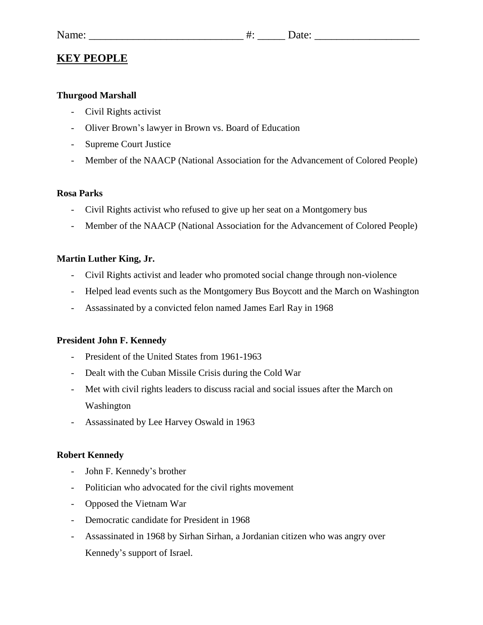# **KEY PEOPLE**

# **Thurgood Marshall**

- Civil Rights activist
- Oliver Brown's lawyer in Brown vs. Board of Education
- Supreme Court Justice
- Member of the NAACP (National Association for the Advancement of Colored People)

# **Rosa Parks**

- Civil Rights activist who refused to give up her seat on a Montgomery bus
- Member of the NAACP (National Association for the Advancement of Colored People)

# **Martin Luther King, Jr.**

- Civil Rights activist and leader who promoted social change through non-violence
- Helped lead events such as the Montgomery Bus Boycott and the March on Washington
- Assassinated by a convicted felon named James Earl Ray in 1968

# **President John F. Kennedy**

- President of the United States from 1961-1963
- Dealt with the Cuban Missile Crisis during the Cold War
- Met with civil rights leaders to discuss racial and social issues after the March on Washington
- Assassinated by Lee Harvey Oswald in 1963

# **Robert Kennedy**

- John F. Kennedy's brother
- Politician who advocated for the civil rights movement
- Opposed the Vietnam War
- Democratic candidate for President in 1968
- Assassinated in 1968 by Sirhan Sirhan, a Jordanian citizen who was angry over Kennedy's support of Israel.